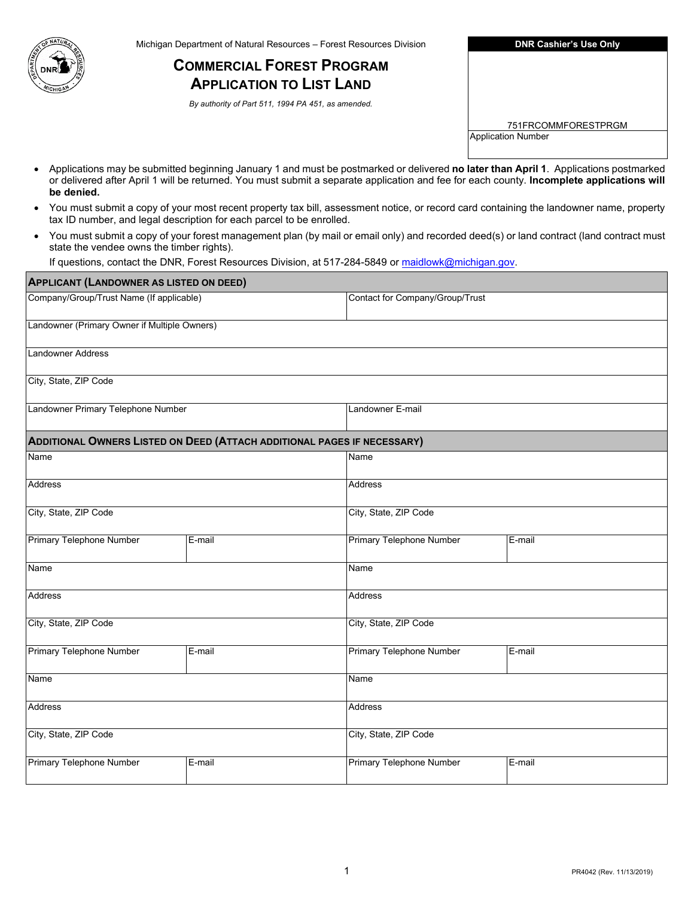

**COMMERCIAL FOREST PROGRAM APPLICATION TO LIST LAND** 

 *By authority of Part 511, 1994 PA 451, as amended.* 

| <b>DNR Cashier's Use Only</b> |
|-------------------------------|
|-------------------------------|

751FRCOMMFORESTPRGM Application Number

- • Applications may be submitted beginning January 1 and must be postmarked or delivered **no later than April 1**. Applications postmarked or delivered after April 1 will be returned. You must submit a separate application and fee for each county. **Incomplete applications will be denied.**
- • You must submit a copy of your most recent property tax bill, assessment notice, or record card containing the landowner name, property tax ID number, and legal description for each parcel to be enrolled.
- $\bullet$ • You must submit a copy of your forest management plan (by mail or email only) and recorded deed(s) or land contract (land contract must state the vendee owns the timber rights).

If questions, contact the DNR, Forest Resources Division, at 517-284-5849 or maidlowk@michigan.gov.

| <b>APPLICANT (LANDOWNER AS LISTED ON DEED)</b> |                                                                         |                                 |        |
|------------------------------------------------|-------------------------------------------------------------------------|---------------------------------|--------|
| Company/Group/Trust Name (If applicable)       |                                                                         | Contact for Company/Group/Trust |        |
| Landowner (Primary Owner if Multiple Owners)   |                                                                         |                                 |        |
| <b>Landowner Address</b>                       |                                                                         |                                 |        |
| City, State, ZIP Code                          |                                                                         |                                 |        |
| Landowner Primary Telephone Number             |                                                                         | Landowner E-mail                |        |
|                                                | ADDITIONAL OWNERS LISTED ON DEED (ATTACH ADDITIONAL PAGES IF NECESSARY) |                                 |        |
| Name                                           |                                                                         | Name                            |        |
| <b>Address</b>                                 |                                                                         | <b>Address</b>                  |        |
| City, State, ZIP Code                          |                                                                         | City, State, ZIP Code           |        |
| Primary Telephone Number                       | E-mail                                                                  | Primary Telephone Number        | E-mail |
| Name                                           |                                                                         | Name                            |        |
| Address                                        |                                                                         | <b>Address</b>                  |        |
| City, State, ZIP Code                          |                                                                         | City, State, ZIP Code           |        |
| Primary Telephone Number                       | E-mail                                                                  | Primary Telephone Number        | E-mail |
| Name                                           |                                                                         | Name                            |        |
| Address                                        |                                                                         | <b>Address</b>                  |        |
| City, State, ZIP Code                          |                                                                         | City, State, ZIP Code           |        |
| Primary Telephone Number                       | E-mail                                                                  | Primary Telephone Number        | E-mail |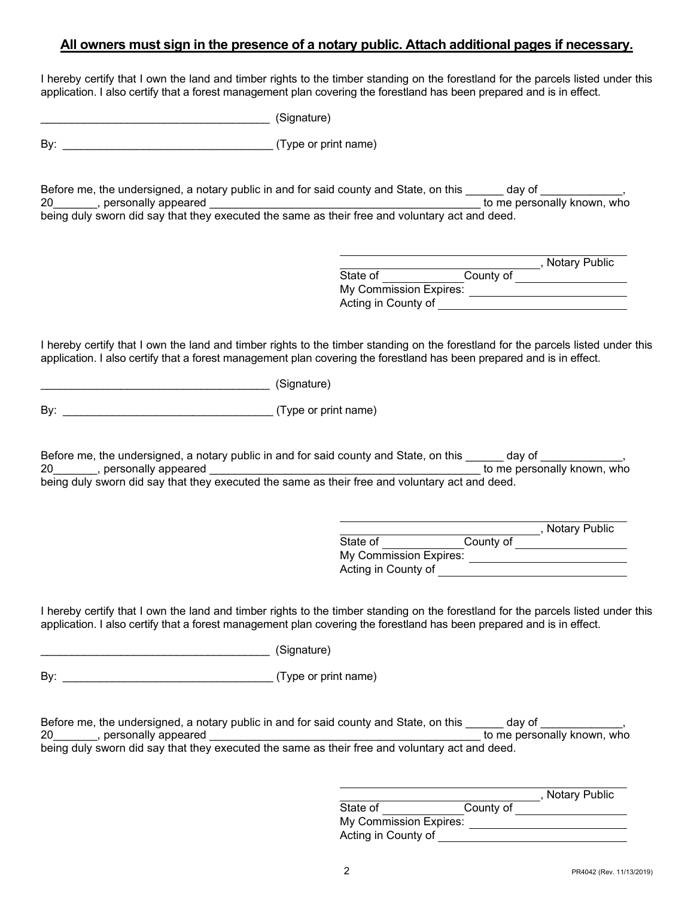## **All owners must sign in the presence of a notary public. Attach additional pages if necessary.**

 I hereby certify that I own the land and timber rights to the timber standing on the forestland for the parcels listed under this application. I also certify that a forest management plan covering the forestland has been prepared and is in effect.

\_\_\_\_\_\_\_\_\_\_\_\_\_\_\_\_\_\_\_\_\_\_\_\_\_\_\_\_\_\_\_\_\_\_\_\_\_ (Signature)

By:  $\qquad \qquad$  (Type or print name)

Before me, the undersigned, a notary public in and for said county and State, on this \_\_\_\_\_\_ day of \_\_\_\_\_\_\_\_\_,<br>20 personally appeared to me personally known, who 20\_\_\_\_\_\_\_, personally appeared \_\_\_\_\_\_\_\_\_\_\_\_\_\_\_\_\_\_\_\_\_\_\_\_\_\_\_\_\_\_\_\_\_\_\_\_\_\_\_\_\_\_\_ to me personally known, who being duly sworn did say that they executed the same as their free and voluntary act and deed.

|                        |           | <b>Notary Public</b> |
|------------------------|-----------|----------------------|
| State of               | County of |                      |
| My Commission Expires: |           |                      |
| Acting in County of    |           |                      |

 I hereby certify that I own the land and timber rights to the timber standing on the forestland for the parcels listed under this application. I also certify that a forest management plan covering the forestland has been prepared and is in effect.

\_\_\_\_\_\_\_\_\_\_\_\_\_\_\_\_\_\_\_\_\_\_\_\_\_\_\_\_\_\_\_\_\_\_\_\_\_ (Signature)

By: \_\_\_\_\_\_\_\_\_\_\_\_\_\_\_\_\_\_\_\_\_\_\_\_\_\_\_\_\_\_\_\_\_\_ (Type or print name)

| Before me, the undersigned, a notary public in and for said county and State, on this          | dav of                      |
|------------------------------------------------------------------------------------------------|-----------------------------|
| 20<br>, personally appeared                                                                    | to me personally known, who |
| being duly sworn did say that they executed the same as their free and voluntary act and deed. |                             |

id say that they

|                        |           | , Notary Public |
|------------------------|-----------|-----------------|
| State of               | County of |                 |
| My Commission Expires: |           |                 |
| Acting in County of    |           |                 |

 I hereby certify that I own the land and timber rights to the timber standing on the forestland for the parcels listed under this application. I also certify that a forest management plan covering the forestland has been prepared and is in effect.

| (Signature) |
|-------------|
|             |

By: \_\_\_\_\_\_\_\_\_\_\_\_\_\_\_\_\_\_\_\_\_\_\_\_\_\_\_\_\_\_\_\_\_\_ (Type or print name)

| Before me, the undersigned, a notary public in and for said county and State, on this          | dav of                      |
|------------------------------------------------------------------------------------------------|-----------------------------|
| 20<br>, personally appeared                                                                    | to me personally known, who |
| being duly sworn did say that they executed the same as their free and voluntary act and deed. |                             |

|                        |           | <b>Notary Public</b> |
|------------------------|-----------|----------------------|
| State of               | County of |                      |
| My Commission Expires: |           |                      |
| Acting in County of    |           |                      |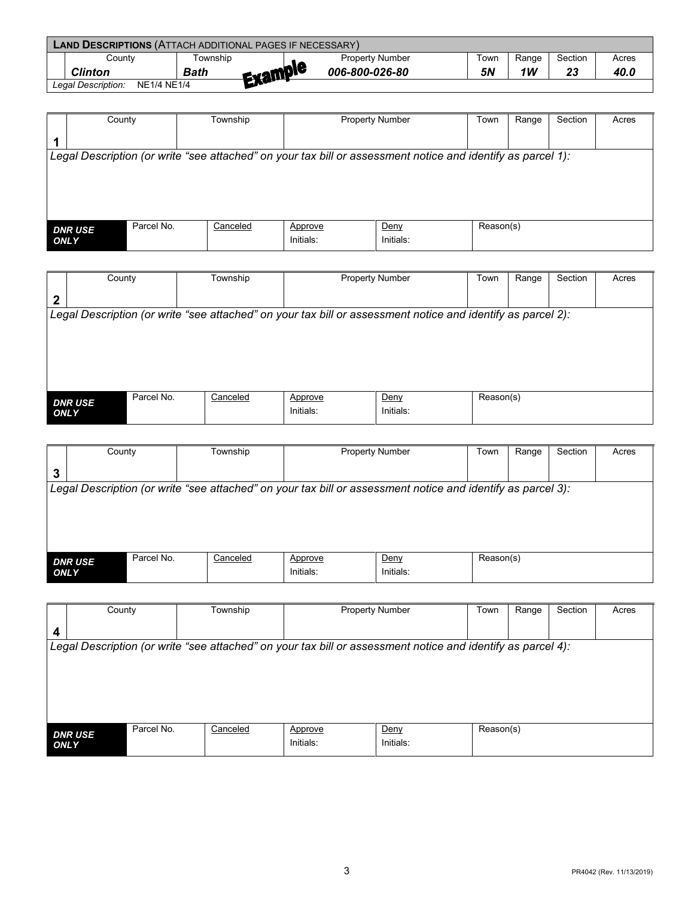| <b>LAND DESCRIPTIONS (ATTACH ADDITIONAL PAGES IF NECESSARY)</b> |                 |  |                        |      |       |           |       |  |
|-----------------------------------------------------------------|-----------------|--|------------------------|------|-------|-----------|-------|--|
| Countv                                                          | ⊺ownship        |  | <b>Property Number</b> | iown | Range | Section   | Acres |  |
| <b>Clinton</b>                                                  | Evample<br>Bath |  | 006-800-026-80         | 5N   | 1W    | n g<br>ZJ | 40.0  |  |
| Legal Description:<br><b>NE1/4 NE1/4</b>                        | <b>ENGLISH</b>  |  |                        |      |       |           |       |  |

|             | County         | Range<br>Township<br>Town<br><b>Property Number</b> |          |                      |                                                                                                             | Section   | Acres |  |  |
|-------------|----------------|-----------------------------------------------------|----------|----------------------|-------------------------------------------------------------------------------------------------------------|-----------|-------|--|--|
|             |                |                                                     |          |                      |                                                                                                             |           |       |  |  |
|             |                |                                                     |          |                      | Legal Description (or write "see attached" on your tax bill or assessment notice and identify as parcel 1): |           |       |  |  |
|             |                |                                                     |          |                      |                                                                                                             |           |       |  |  |
|             |                |                                                     |          |                      |                                                                                                             |           |       |  |  |
|             |                |                                                     |          |                      |                                                                                                             |           |       |  |  |
|             | <b>DNR USE</b> | Parcel No.                                          | Canceled | Approve<br>Initials: | Deny<br>Initials:                                                                                           | Reason(s) |       |  |  |
| <b>ONLY</b> |                |                                                     |          |                      |                                                                                                             |           |       |  |  |

|              | County                       | Township                                                                                                    |           | <b>Property Number</b> | Town      | Range | Section | Acres |
|--------------|------------------------------|-------------------------------------------------------------------------------------------------------------|-----------|------------------------|-----------|-------|---------|-------|
| $\mathbf{2}$ |                              |                                                                                                             |           |                        |           |       |         |       |
|              |                              | Legal Description (or write "see attached" on your tax bill or assessment notice and identify as parcel 2): |           |                        |           |       |         |       |
|              |                              |                                                                                                             |           |                        |           |       |         |       |
|              |                              |                                                                                                             |           |                        |           |       |         |       |
|              |                              |                                                                                                             |           |                        |           |       |         |       |
|              |                              |                                                                                                             |           |                        |           |       |         |       |
|              | Parcel No.<br><b>DNR USE</b> | Canceled                                                                                                    | Approve   | Deny                   | Reason(s) |       |         |       |
| <b>ONLY</b>  |                              |                                                                                                             | Initials: | Initials:              |           |       |         |       |

|             | County                       | Township                                                                                                    | <b>Property Number</b> |           | Town      | Range | Section | Acres |
|-------------|------------------------------|-------------------------------------------------------------------------------------------------------------|------------------------|-----------|-----------|-------|---------|-------|
| 3           |                              |                                                                                                             |                        |           |           |       |         |       |
|             |                              | Legal Description (or write "see attached" on your tax bill or assessment notice and identify as parcel 3): |                        |           |           |       |         |       |
|             |                              |                                                                                                             |                        |           |           |       |         |       |
|             |                              |                                                                                                             |                        |           |           |       |         |       |
|             |                              |                                                                                                             |                        |           |           |       |         |       |
|             |                              |                                                                                                             |                        |           |           |       |         |       |
|             | Parcel No.<br><b>DNR USE</b> | Canceled                                                                                                    | Approve                | Deny      | Reason(s) |       |         |       |
| <b>ONLY</b> |                              |                                                                                                             | Initials:              | Initials: |           |       |         |       |
|             |                              |                                                                                                             |                        |           |           |       |         |       |

| $\boldsymbol{4}$                                                                                            |  |
|-------------------------------------------------------------------------------------------------------------|--|
|                                                                                                             |  |
| Legal Description (or write "see attached" on your tax bill or assessment notice and identify as parcel 4): |  |
|                                                                                                             |  |
|                                                                                                             |  |
|                                                                                                             |  |
| Parcel No.<br>Canceled<br>Reason(s)<br>Deny<br>Approve                                                      |  |
| <b>DNR USE</b><br>Initials:<br>Initials:<br><b>ONLY</b>                                                     |  |